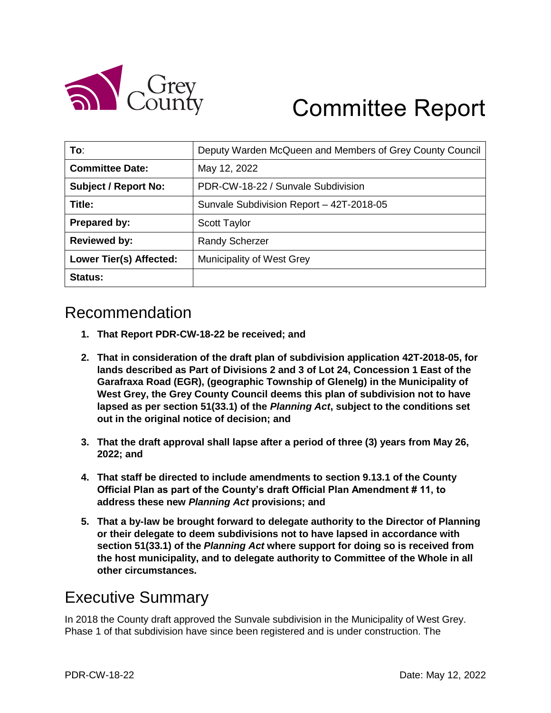

# Committee Report

| To:                         | Deputy Warden McQueen and Members of Grey County Council |
|-----------------------------|----------------------------------------------------------|
| <b>Committee Date:</b>      | May 12, 2022                                             |
| <b>Subject / Report No:</b> | PDR-CW-18-22 / Sunvale Subdivision                       |
| Title:                      | Sunvale Subdivision Report - 42T-2018-05                 |
| Prepared by:                | <b>Scott Taylor</b>                                      |
| <b>Reviewed by:</b>         | <b>Randy Scherzer</b>                                    |
| Lower Tier(s) Affected:     | Municipality of West Grey                                |
| Status:                     |                                                          |

## Recommendation

- **1. That Report PDR-CW-18-22 be received; and**
- **2. That in consideration of the draft plan of subdivision application 42T-2018-05, for lands described as Part of Divisions 2 and 3 of Lot 24, Concession 1 East of the Garafraxa Road (EGR), (geographic Township of Glenelg) in the Municipality of West Grey, the Grey County Council deems this plan of subdivision not to have lapsed as per section 51(33.1) of the** *Planning Act***, subject to the conditions set out in the original notice of decision; and**
- **3. That the draft approval shall lapse after a period of three (3) years from May 26, 2022; and**
- **4. That staff be directed to include amendments to section 9.13.1 of the County Official Plan as part of the County's draft Official Plan Amendment # 11, to address these new** *Planning Act* **provisions; and**
- **5. That a by-law be brought forward to delegate authority to the Director of Planning or their delegate to deem subdivisions not to have lapsed in accordance with section 51(33.1) of the** *Planning Act* **where support for doing so is received from the host municipality, and to delegate authority to Committee of the Whole in all other circumstances.**

### Executive Summary

In 2018 the County draft approved the Sunvale subdivision in the Municipality of West Grey. Phase 1 of that subdivision have since been registered and is under construction. The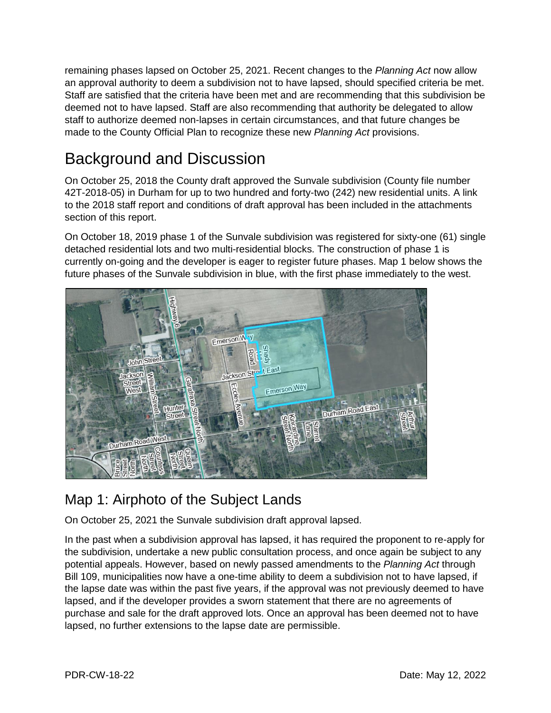remaining phases lapsed on October 25, 2021. Recent changes to the *Planning Act* now allow an approval authority to deem a subdivision not to have lapsed, should specified criteria be met. Staff are satisfied that the criteria have been met and are recommending that this subdivision be deemed not to have lapsed. Staff are also recommending that authority be delegated to allow staff to authorize deemed non-lapses in certain circumstances, and that future changes be made to the County Official Plan to recognize these new *Planning Act* provisions.

# Background and Discussion

On October 25, 2018 the County draft approved the Sunvale subdivision (County file number 42T-2018-05) in Durham for up to two hundred and forty-two (242) new residential units. A link to the 2018 staff report and conditions of draft approval has been included in the attachments section of this report.

On October 18, 2019 phase 1 of the Sunvale subdivision was registered for sixty-one (61) single detached residential lots and two multi-residential blocks. The construction of phase 1 is currently on-going and the developer is eager to register future phases. Map 1 below shows the future phases of the Sunvale subdivision in blue, with the first phase immediately to the west.



#### Map 1: Airphoto of the Subject Lands

On October 25, 2021 the Sunvale subdivision draft approval lapsed.

In the past when a subdivision approval has lapsed, it has required the proponent to re-apply for the subdivision, undertake a new public consultation process, and once again be subject to any potential appeals. However, based on newly passed amendments to the *Planning Act* through Bill 109, municipalities now have a one-time ability to deem a subdivision not to have lapsed, if the lapse date was within the past five years, if the approval was not previously deemed to have lapsed, and if the developer provides a sworn statement that there are no agreements of purchase and sale for the draft approved lots. Once an approval has been deemed not to have lapsed, no further extensions to the lapse date are permissible.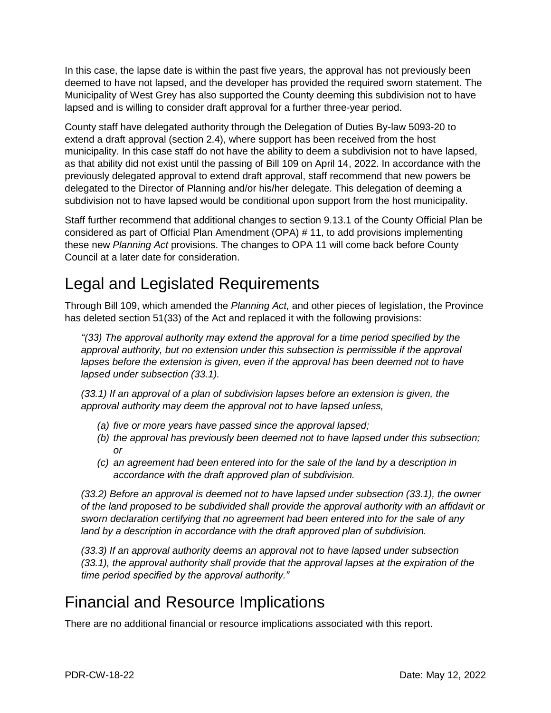In this case, the lapse date is within the past five years, the approval has not previously been deemed to have not lapsed, and the developer has provided the required sworn statement. The Municipality of West Grey has also supported the County deeming this subdivision not to have lapsed and is willing to consider draft approval for a further three-year period.

County staff have delegated authority through the Delegation of Duties By-law 5093-20 to extend a draft approval (section 2.4), where support has been received from the host municipality. In this case staff do not have the ability to deem a subdivision not to have lapsed, as that ability did not exist until the passing of Bill 109 on April 14, 2022. In accordance with the previously delegated approval to extend draft approval, staff recommend that new powers be delegated to the Director of Planning and/or his/her delegate. This delegation of deeming a subdivision not to have lapsed would be conditional upon support from the host municipality.

Staff further recommend that additional changes to section 9.13.1 of the County Official Plan be considered as part of Official Plan Amendment (OPA) # 11, to add provisions implementing these new *Planning Act* provisions. The changes to OPA 11 will come back before County Council at a later date for consideration.

# Legal and Legislated Requirements

Through Bill 109, which amended the *Planning Act,* and other pieces of legislation, the Province has deleted section 51(33) of the Act and replaced it with the following provisions:

*"(33) The approval authority may extend the approval for a time period specified by the approval authority, but no extension under this subsection is permissible if the approval lapses before the extension is given, even if the approval has been deemed not to have lapsed under subsection (33.1).*

*(33.1) If an approval of a plan of subdivision lapses before an extension is given, the approval authority may deem the approval not to have lapsed unless,*

- *(a) five or more years have passed since the approval lapsed;*
- *(b) the approval has previously been deemed not to have lapsed under this subsection; or*
- *(c) an agreement had been entered into for the sale of the land by a description in accordance with the draft approved plan of subdivision.*

*(33.2) Before an approval is deemed not to have lapsed under subsection (33.1), the owner of the land proposed to be subdivided shall provide the approval authority with an affidavit or sworn declaration certifying that no agreement had been entered into for the sale of any land by a description in accordance with the draft approved plan of subdivision.*

*(33.3) If an approval authority deems an approval not to have lapsed under subsection (33.1), the approval authority shall provide that the approval lapses at the expiration of the time period specified by the approval authority."*

## Financial and Resource Implications

There are no additional financial or resource implications associated with this report.